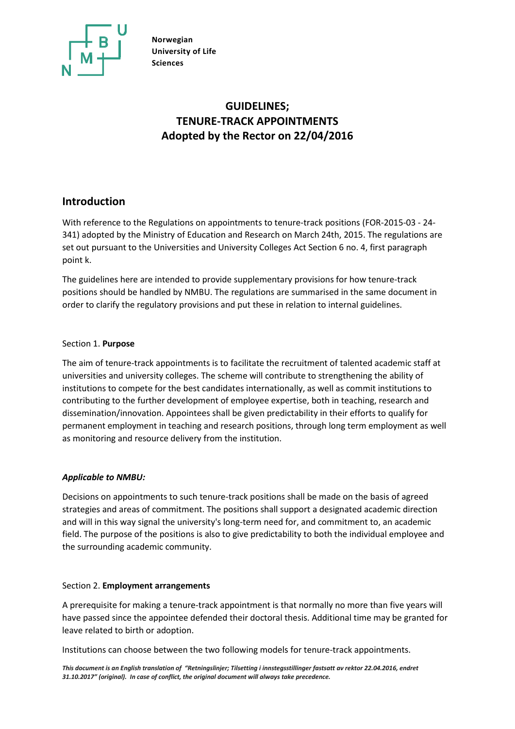

# **GUIDELINES; TENURE-TRACK APPOINTMENTS Adopted by the Rector on 22/04/2016**

## **Introduction**

With reference to the Regulations on appointments to tenure-track positions (FOR-2015-03 - 24- 341) adopted by the Ministry of Education and Research on March 24th, 2015. The regulations are set out pursuant to the Universities and University Colleges Act Section 6 no. 4, first paragraph point k.

The guidelines here are intended to provide supplementary provisions for how tenure-track positions should be handled by NMBU. The regulations are summarised in the same document in order to clarify the regulatory provisions and put these in relation to internal guidelines.

## Section 1. **Purpose**

The aim of tenure-track appointments is to facilitate the recruitment of talented academic staff at universities and university colleges. The scheme will contribute to strengthening the ability of institutions to compete for the best candidates internationally, as well as commit institutions to contributing to the further development of employee expertise, both in teaching, research and dissemination/innovation. Appointees shall be given predictability in their efforts to qualify for permanent employment in teaching and research positions, through long term employment as well as monitoring and resource delivery from the institution.

## *Applicable to NMBU:*

Decisions on appointments to such tenure-track positions shall be made on the basis of agreed strategies and areas of commitment. The positions shall support a designated academic direction and will in this way signal the university's long-term need for, and commitment to, an academic field. The purpose of the positions is also to give predictability to both the individual employee and the surrounding academic community.

## Section 2. **Employment arrangements**

A prerequisite for making a tenure-track appointment is that normally no more than five years will have passed since the appointee defended their doctoral thesis. Additional time may be granted for leave related to birth or adoption.

Institutions can choose between the two following models for tenure-track appointments.

*This document is an English translation of "Retningslinjer; Tilsetting i innstegsstillinger fastsatt av rektor 22.04.2016, endret 31.10.2017" (original). In case of conflict, the original document will always take precedence.*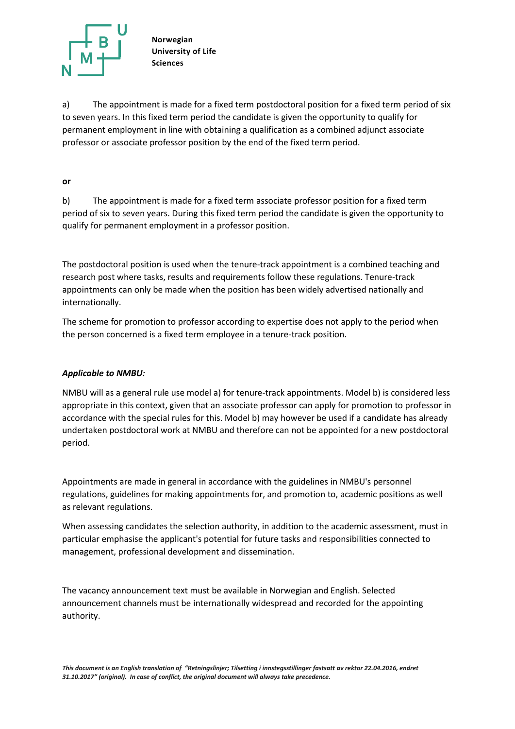

a) The appointment is made for a fixed term postdoctoral position for a fixed term period of six to seven years. In this fixed term period the candidate is given the opportunity to qualify for permanent employment in line with obtaining a qualification as a combined adjunct associate professor or associate professor position by the end of the fixed term period.

#### **or**

b) The appointment is made for a fixed term associate professor position for a fixed term period of six to seven years. During this fixed term period the candidate is given the opportunity to qualify for permanent employment in a professor position.

The postdoctoral position is used when the tenure-track appointment is a combined teaching and research post where tasks, results and requirements follow these regulations. Tenure-track appointments can only be made when the position has been widely advertised nationally and internationally.

The scheme for promotion to professor according to expertise does not apply to the period when the person concerned is a fixed term employee in a tenure-track position.

## *Applicable to NMBU:*

NMBU will as a general rule use model a) for tenure-track appointments. Model b) is considered less appropriate in this context, given that an associate professor can apply for promotion to professor in accordance with the special rules for this. Model b) may however be used if a candidate has already undertaken postdoctoral work at NMBU and therefore can not be appointed for a new postdoctoral period.

Appointments are made in general in accordance with the guidelines in NMBU's personnel regulations, guidelines for making appointments for, and promotion to, academic positions as well as relevant regulations.

When assessing candidates the selection authority, in addition to the academic assessment, must in particular emphasise the applicant's potential for future tasks and responsibilities connected to management, professional development and dissemination.

The vacancy announcement text must be available in Norwegian and English. Selected announcement channels must be internationally widespread and recorded for the appointing authority.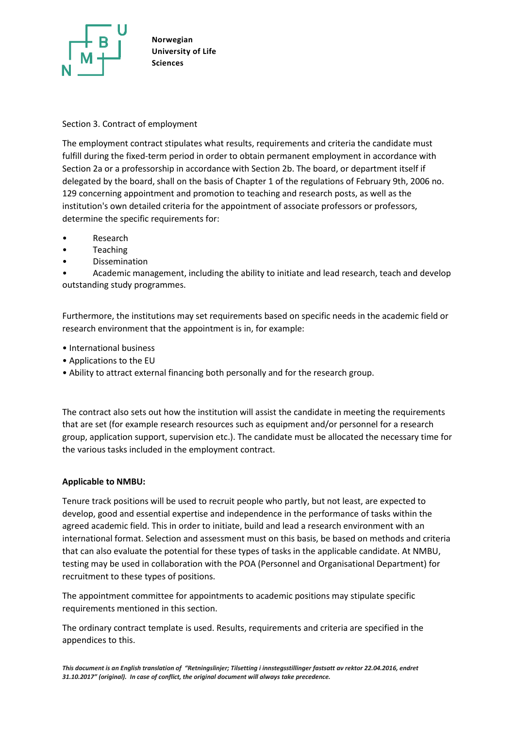

## Section 3. Contract of employment

The employment contract stipulates what results, requirements and criteria the candidate must fulfill during the fixed-term period in order to obtain permanent employment in accordance with Section 2a or a professorship in accordance with Section 2b. The board, or department itself if delegated by the board, shall on the basis of Chapter 1 of the regulations of February 9th, 2006 no. 129 concerning appointment and promotion to teaching and research posts, as well as the institution's own detailed criteria for the appointment of associate professors or professors, determine the specific requirements for:

- Research
- **Teaching**
- Dissemination

• Academic management, including the ability to initiate and lead research, teach and develop outstanding study programmes.

Furthermore, the institutions may set requirements based on specific needs in the academic field or research environment that the appointment is in, for example:

- International business
- Applications to the EU
- Ability to attract external financing both personally and for the research group.

The contract also sets out how the institution will assist the candidate in meeting the requirements that are set (for example research resources such as equipment and/or personnel for a research group, application support, supervision etc.). The candidate must be allocated the necessary time for the various tasks included in the employment contract.

## **Applicable to NMBU:**

Tenure track positions will be used to recruit people who partly, but not least, are expected to develop, good and essential expertise and independence in the performance of tasks within the agreed academic field. This in order to initiate, build and lead a research environment with an international format. Selection and assessment must on this basis, be based on methods and criteria that can also evaluate the potential for these types of tasks in the applicable candidate. At NMBU, testing may be used in collaboration with the POA (Personnel and Organisational Department) for recruitment to these types of positions.

The appointment committee for appointments to academic positions may stipulate specific requirements mentioned in this section.

The ordinary contract template is used. Results, requirements and criteria are specified in the appendices to this.

*This document is an English translation of "Retningslinjer; Tilsetting i innstegsstillinger fastsatt av rektor 22.04.2016, endret 31.10.2017" (original). In case of conflict, the original document will always take precedence.*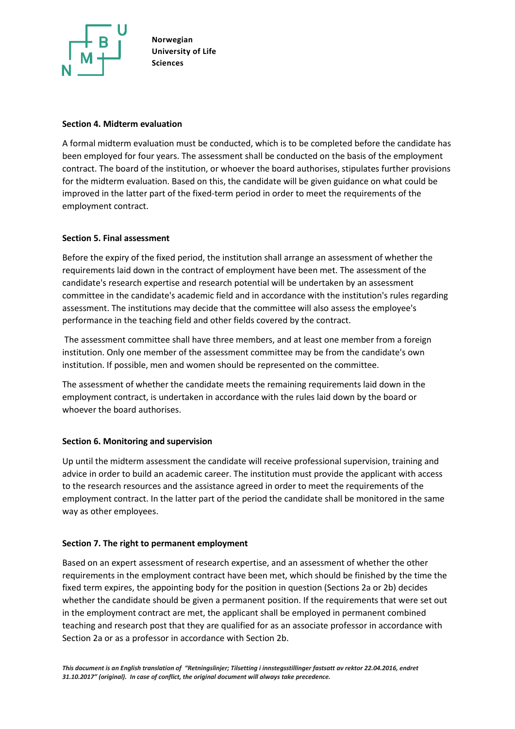

### **Section 4. Midterm evaluation**

A formal midterm evaluation must be conducted, which is to be completed before the candidate has been employed for four years. The assessment shall be conducted on the basis of the employment contract. The board of the institution, or whoever the board authorises, stipulates further provisions for the midterm evaluation. Based on this, the candidate will be given guidance on what could be improved in the latter part of the fixed-term period in order to meet the requirements of the employment contract.

#### **Section 5. Final assessment**

Before the expiry of the fixed period, the institution shall arrange an assessment of whether the requirements laid down in the contract of employment have been met. The assessment of the candidate's research expertise and research potential will be undertaken by an assessment committee in the candidate's academic field and in accordance with the institution's rules regarding assessment. The institutions may decide that the committee will also assess the employee's performance in the teaching field and other fields covered by the contract.

The assessment committee shall have three members, and at least one member from a foreign institution. Only one member of the assessment committee may be from the candidate's own institution. If possible, men and women should be represented on the committee.

The assessment of whether the candidate meets the remaining requirements laid down in the employment contract, is undertaken in accordance with the rules laid down by the board or whoever the board authorises.

#### **Section 6. Monitoring and supervision**

Up until the midterm assessment the candidate will receive professional supervision, training and advice in order to build an academic career. The institution must provide the applicant with access to the research resources and the assistance agreed in order to meet the requirements of the employment contract. In the latter part of the period the candidate shall be monitored in the same way as other employees.

#### **Section 7. The right to permanent employment**

Based on an expert assessment of research expertise, and an assessment of whether the other requirements in the employment contract have been met, which should be finished by the time the fixed term expires, the appointing body for the position in question (Sections 2a or 2b) decides whether the candidate should be given a permanent position. If the requirements that were set out in the employment contract are met, the applicant shall be employed in permanent combined teaching and research post that they are qualified for as an associate professor in accordance with Section 2a or as a professor in accordance with Section 2b.